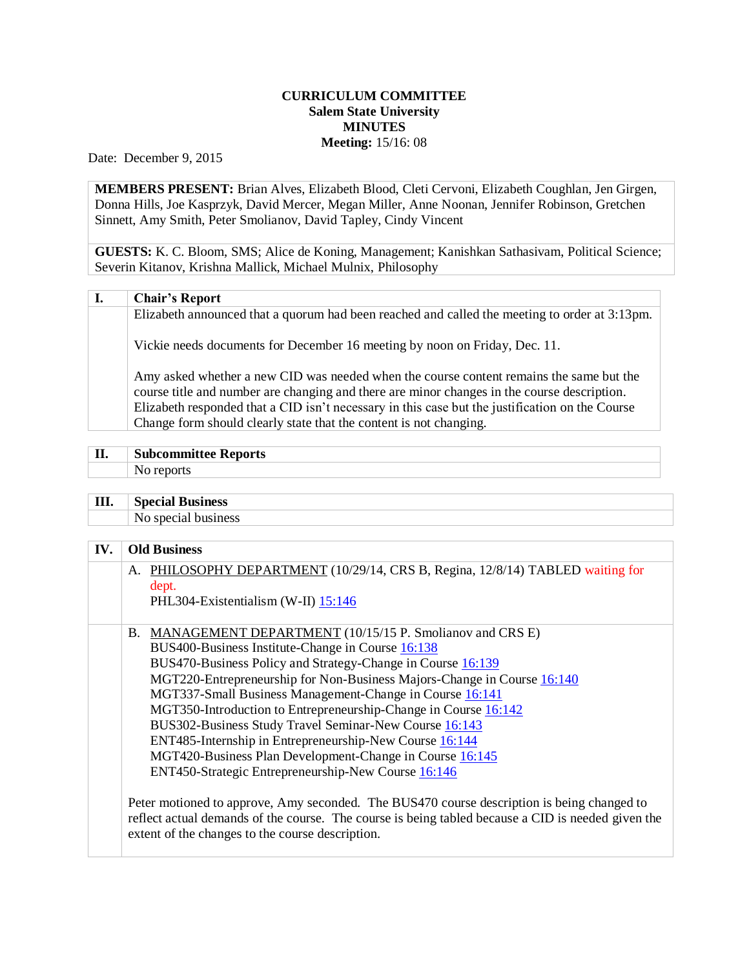## **CURRICULUM COMMITTEE Salem State University MINUTES Meeting:** 15/16: 08

Date: December 9, 2015

**MEMBERS PRESENT:** Brian Alves, Elizabeth Blood, Cleti Cervoni, Elizabeth Coughlan, Jen Girgen, Donna Hills, Joe Kasprzyk, David Mercer, Megan Miller, Anne Noonan, Jennifer Robinson, Gretchen Sinnett, Amy Smith, Peter Smolianov, David Tapley, Cindy Vincent

**GUESTS:** K. C. Bloom, SMS; Alice de Koning, Management; Kanishkan Sathasivam, Political Science; Severin Kitanov, Krishna Mallick, Michael Mulnix, Philosophy

## **I. Chair's Report**

Elizabeth announced that a quorum had been reached and called the meeting to order at 3:13pm.

Vickie needs documents for December 16 meeting by noon on Friday, Dec. 11.

Amy asked whether a new CID was needed when the course content remains the same but the course title and number are changing and there are minor changes in the course description. Elizabeth responded that a CID isn't necessary in this case but the justification on the Course Change form should clearly state that the content is not changing.

| II<br>and the contract of the contract of | bcommittee Reports |
|-------------------------------------------|--------------------|
|                                           |                    |

**III. Special Business** No special business

| IV. | <b>Old Business</b>                                                                                                                                                                                                                                  |
|-----|------------------------------------------------------------------------------------------------------------------------------------------------------------------------------------------------------------------------------------------------------|
|     | A. PHILOSOPHY DEPARTMENT (10/29/14, CRS B, Regina, 12/8/14) TABLED waiting for                                                                                                                                                                       |
|     | dept.                                                                                                                                                                                                                                                |
|     | PHL304-Existentialism (W-II) 15:146                                                                                                                                                                                                                  |
|     | B. MANAGEMENT DEPARTMENT (10/15/15 P. Smolianov and CRS E)                                                                                                                                                                                           |
|     | BUS400-Business Institute-Change in Course 16:138                                                                                                                                                                                                    |
|     | BUS470-Business Policy and Strategy-Change in Course 16:139                                                                                                                                                                                          |
|     | MGT220-Entrepreneurship for Non-Business Majors-Change in Course 16:140                                                                                                                                                                              |
|     | MGT337-Small Business Management-Change in Course 16:141                                                                                                                                                                                             |
|     | MGT350-Introduction to Entrepreneurship-Change in Course 16:142                                                                                                                                                                                      |
|     | BUS302-Business Study Travel Seminar-New Course 16:143                                                                                                                                                                                               |
|     | ENT485-Internship in Entrepreneurship-New Course 16:144                                                                                                                                                                                              |
|     | MGT420-Business Plan Development-Change in Course 16:145                                                                                                                                                                                             |
|     | ENT450-Strategic Entrepreneurship-New Course 16:146                                                                                                                                                                                                  |
|     | Peter motioned to approve, Amy seconded. The BUS470 course description is being changed to<br>reflect actual demands of the course. The course is being tabled because a CID is needed given the<br>extent of the changes to the course description. |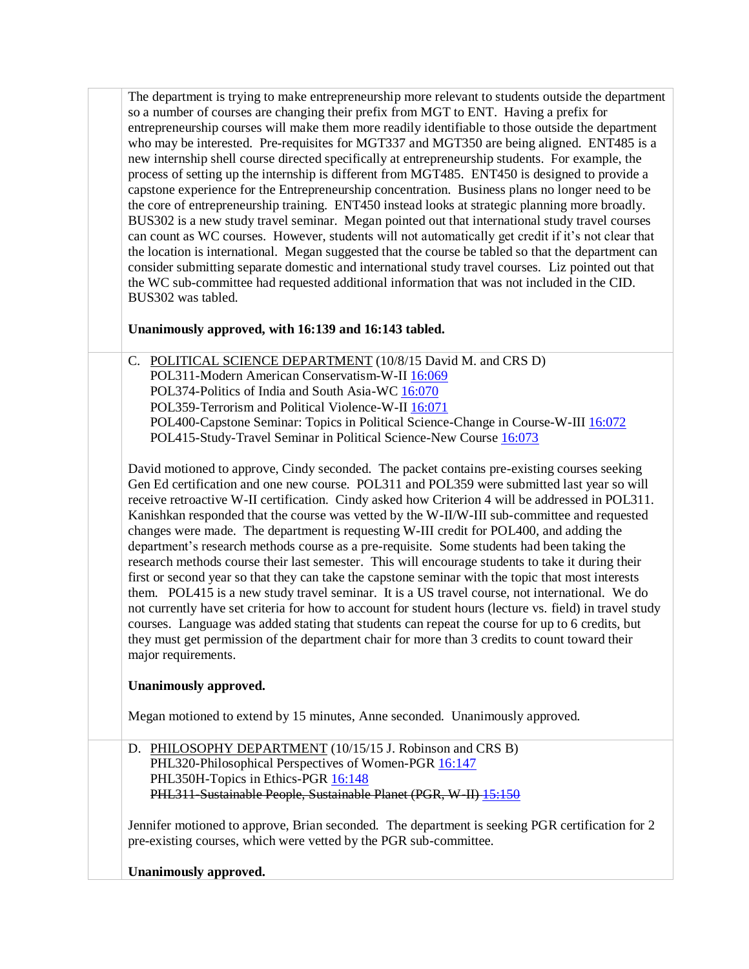The department is trying to make entrepreneurship more relevant to students outside the department so a number of courses are changing their prefix from MGT to ENT. Having a prefix for entrepreneurship courses will make them more readily identifiable to those outside the department who may be interested. Pre-requisites for MGT337 and MGT350 are being aligned. ENT485 is a new internship shell course directed specifically at entrepreneurship students. For example, the process of setting up the internship is different from MGT485. ENT450 is designed to provide a capstone experience for the Entrepreneurship concentration. Business plans no longer need to be the core of entrepreneurship training. ENT450 instead looks at strategic planning more broadly. BUS302 is a new study travel seminar. Megan pointed out that international study travel courses can count as WC courses. However, students will not automatically get credit if it's not clear that the location is international. Megan suggested that the course be tabled so that the department can consider submitting separate domestic and international study travel courses. Liz pointed out that the WC sub-committee had requested additional information that was not included in the CID. BUS302 was tabled.

## **Unanimously approved, with 16:139 and 16:143 tabled.**

C. POLITICAL SCIENCE DEPARTMENT (10/8/15 David M. and CRS D) POL311-Modern American Conservatism-W-I[I 16:069](http://www.salemstate.edu/6780.php?trackingNum=16:069&search=all) POL374-Politics of India and South Asia-WC [16:070](http://www.salemstate.edu/6780.php?trackingNum=16:070&search=all) POL359-Terrorism and Political Violence-W-II [16:071](http://www.salemstate.edu/6780.php?trackingNum=16:071&search=all) POL400-Capstone Seminar: Topics in Political Science-Change in Course-W-III [16:072](http://www.salemstate.edu/6780.php?trackingNum=16:072&search=all) POL415-Study-Travel Seminar in Political Science-New Course [16:073](http://www.salemstate.edu/6780.php?trackingNum=16:073&search=all)

David motioned to approve, Cindy seconded. The packet contains pre-existing courses seeking Gen Ed certification and one new course. POL311 and POL359 were submitted last year so will receive retroactive W-II certification. Cindy asked how Criterion 4 will be addressed in POL311. Kanishkan responded that the course was vetted by the W-II/W-III sub-committee and requested changes were made. The department is requesting W-III credit for POL400, and adding the department's research methods course as a pre-requisite. Some students had been taking the research methods course their last semester. This will encourage students to take it during their first or second year so that they can take the capstone seminar with the topic that most interests them. POL415 is a new study travel seminar. It is a US travel course, not international. We do not currently have set criteria for how to account for student hours (lecture vs. field) in travel study courses. Language was added stating that students can repeat the course for up to 6 credits, but they must get permission of the department chair for more than 3 credits to count toward their major requirements.

## **Unanimously approved.**

Megan motioned to extend by 15 minutes, Anne seconded. Unanimously approved.

D. PHILOSOPHY DEPARTMENT (10/15/15 J. Robinson and CRS B) PHL320-Philosophical Perspectives of Women-PGR [16:147](http://www.salemstate.edu/6780.php?trackingNum=16:147&search=all) PHL350H-Topics in Ethics-PGR [16:148](http://www.salemstate.edu/6780.php?trackingNum=16:148&search=all) PHL311-Sustainable People, Sustainable Planet (PGR, W-II) [15:150](http://www.salemstate.edu/6780.php?trackingNum=15:150&search=all)

Jennifer motioned to approve, Brian seconded. The department is seeking PGR certification for 2 pre-existing courses, which were vetted by the PGR sub-committee.

**Unanimously approved.**